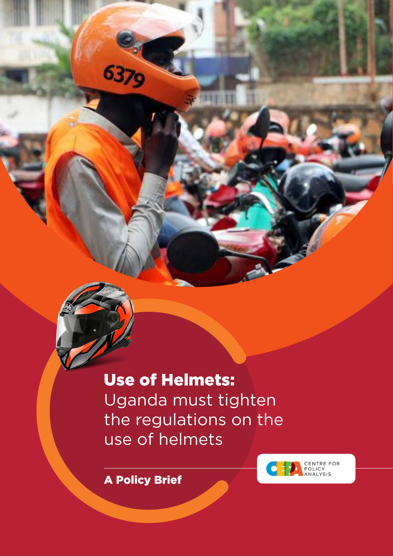Use of Helmets: Uganda must tighten the regulations on the use of helmets



A Policy Brief

6379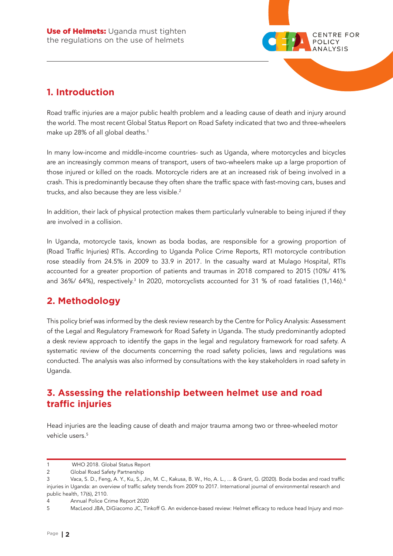

# **1. Introduction**

Road traffic injuries are a major public health problem and a leading cause of death and injury around the world. The most recent Global Status Report on Road Safety indicated that two and three-wheelers make up 28% of all global deaths.<sup>1</sup>

In many low-income and middle-income countries- such as Uganda, where motorcycles and bicycles are an increasingly common means of transport, users of two-wheelers make up a large proportion of those injured or killed on the roads. Motorcycle riders are at an increased risk of being involved in a crash. This is predominantly because they often share the traffic space with fast-moving cars, buses and trucks, and also because they are less visible.<sup>2</sup>

In addition, their lack of physical protection makes them particularly vulnerable to being injured if they are involved in a collision.

In Uganda, motorcycle taxis, known as boda bodas, are responsible for a growing proportion of (Road Traffic Injuries) RTIs. According to Uganda Police Crime Reports, RTI motorcycle contribution rose steadily from 24.5% in 2009 to 33.9 in 2017. In the casualty ward at Mulago Hospital, RTIs accounted for a greater proportion of patients and traumas in 2018 compared to 2015 (10%/ 41% and 36%/ 64%), respectively.<sup>3</sup> In 2020, motorcyclists accounted for 31 % of road fatalities (1,146).<sup>4</sup>

# **2. Methodology**

This policy brief was informed by the desk review research by the Centre for Policy Analysis: Assessment of the Legal and Regulatory Framework for Road Safety in Uganda. The study predominantly adopted a desk review approach to identify the gaps in the legal and regulatory framework for road safety. A systematic review of the documents concerning the road safety policies, laws and regulations was conducted. The analysis was also informed by consultations with the key stakeholders in road safety in Uganda.

## **3. Assessing the relationship between helmet use and road traffic injuries**

Head injuries are the leading cause of death and major trauma among two or three-wheeled motor vehicle users.<sup>5</sup>

<sup>1</sup> WHO 2018. Global Status Report

<sup>2</sup> Global Road Safety Partnership

<sup>3</sup> Vaca, S. D., Feng, A. Y., Ku, S., Jin, M. C., Kakusa, B. W., Ho, A. L., ... & Grant, G. (2020). Boda bodas and road traffic injuries in Uganda: an overview of traffic safety trends from 2009 to 2017. International journal of environmental research and public health, 17(6), 2110.

<sup>4</sup> Annual Police Crime Report 2020

<sup>5</sup> MacLeod JBA, DiGiacomo JC, Tinkoff G. An evidence-based review: Helmet efficacy to reduce head Injury and mor-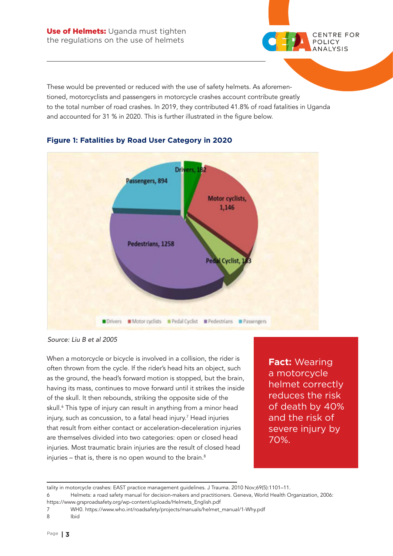

These would be prevented or reduced with the use of safety helmets. As aforementioned, motorcyclists and passengers in motorcycle crashes account contribute greatly to the total number of road crashes. In 2019, they contributed 41.8% of road fatalities in Uganda and accounted for 31 % in 2020. This is further illustrated in the figure below.



### **Figure 1: Fatalities by Road User Category in 2020**

*Source: Liu B et al 2005*

When a motorcycle or bicycle is involved in a collision, the rider is often thrown from the cycle. If the rider's head hits an object, such as the ground, the head's forward motion is stopped, but the brain, having its mass, continues to move forward until it strikes the inside of the skull. It then rebounds, striking the opposite side of the skull.6 This type of injury can result in anything from a minor head injury, such as concussion, to a fatal head injury.7 Head injuries that result from either contact or acceleration-deceleration injuries are themselves divided into two categories: open or closed head injuries. Most traumatic brain injuries are the result of closed head injuries – that is, there is no open wound to the brain. $8$ 

**Fact:** Wearing a motorcycle helmet correctly reduces the risk of death by 40% and the risk of severe injury by 70%.

tality in motorcycle crashes: EAST practice management guidelines. J Trauma. 2010 Nov;69(5):1101–11.

<sup>6</sup> Helmets: a road safety manual for decision-makers and practitioners. Geneva, World Health Organization, 2006: https://www.grsproadsafety.org/wp-content/uploads/Helmets\_English.pdf

<sup>7</sup> WH0. https://www.who.int/roadsafety/projects/manuals/helmet\_manual/1-Why.pdf

<sup>8</sup> Ibid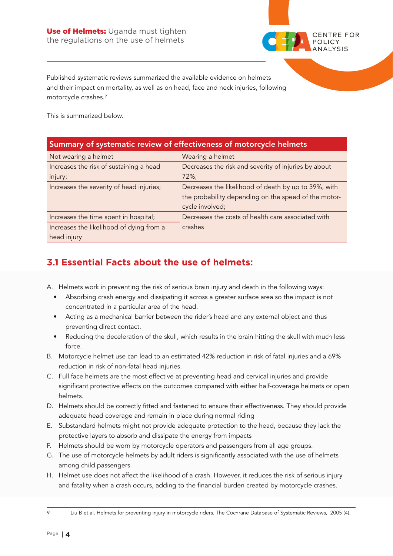

Published systematic reviews summarized the available evidence on helmets and their impact on mortality, as well as on head, face and neck injuries, following motorcycle crashes.9

This is summarized below.

### Summary of systematic review of effectiveness of motorcycle helmets

| Not wearing a helmet                     | Wearing a helmet                                     |
|------------------------------------------|------------------------------------------------------|
| Increases the risk of sustaining a head  | Decreases the risk and severity of injuries by about |
| injury;                                  | 72%;                                                 |
| Increases the severity of head injuries; | Decreases the likelihood of death by up to 39%, with |
|                                          | the probability depending on the speed of the motor- |
|                                          | cycle involved;                                      |
| Increases the time spent in hospital;    | Decreases the costs of health care associated with   |
| Increases the likelihood of dying from a | crashes                                              |
| head injury                              |                                                      |

# **3.1 Essential Facts about the use of helmets:**

- A. Helmets work in preventing the risk of serious brain injury and death in the following ways:
	- Absorbing crash energy and dissipating it across a greater surface area so the impact is not concentrated in a particular area of the head.
	- Acting as a mechanical barrier between the rider's head and any external object and thus preventing direct contact.
	- Reducing the deceleration of the skull, which results in the brain hitting the skull with much less force.
- B. Motorcycle helmet use can lead to an estimated 42% reduction in risk of fatal injuries and a 69% reduction in risk of non-fatal head injuries.
- C. Full face helmets are the most effective at preventing head and cervical injuries and provide significant protective effects on the outcomes compared with either half-coverage helmets or open helmets.
- D. Helmets should be correctly fitted and fastened to ensure their effectiveness. They should provide adequate head coverage and remain in place during normal riding
- E. Substandard helmets might not provide adequate protection to the head, because they lack the protective layers to absorb and dissipate the energy from impacts
- F. Helmets should be worn by motorcycle operators and passengers from all age groups.
- G. The use of motorcycle helmets by adult riders is significantly associated with the use of helmets among child passengers
- H. Helmet use does not affect the likelihood of a crash. However, it reduces the risk of serious injury and fatality when a crash occurs, adding to the financial burden created by motorcycle crashes.

9 Liu B et al. Helmets for preventing injury in motorcycle riders. The Cochrane Database of Systematic Reviews, 2005 (4).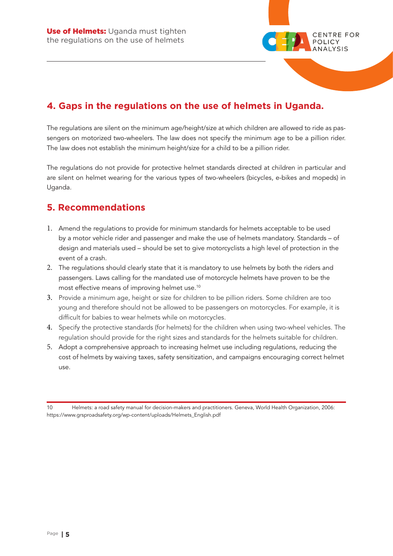

# **4. Gaps in the regulations on the use of helmets in Uganda.**

The regulations are silent on the minimum age/height/size at which children are allowed to ride as passengers on motorized two-wheelers. The law does not specify the minimum age to be a pillion rider. The law does not establish the minimum height/size for a child to be a pillion rider.

The regulations do not provide for protective helmet standards directed at children in particular and are silent on helmet wearing for the various types of two-wheelers (bicycles, e-bikes and mopeds) in Uganda.

### **5. Recommendations**

- 1. Amend the regulations to provide for minimum standards for helmets acceptable to be used by a motor vehicle rider and passenger and make the use of helmets mandatory. Standards – of design and materials used – should be set to give motorcyclists a high level of protection in the event of a crash.
- 2. The regulations should clearly state that it is mandatory to use helmets by both the riders and passengers. Laws calling for the mandated use of motorcycle helmets have proven to be the most effective means of improving helmet use.10
- 3. Provide a minimum age, height or size for children to be pillion riders. Some children are too young and therefore should not be allowed to be passengers on motorcycles. For example, it is difficult for babies to wear helmets while on motorcycles.
- 4. Specify the protective standards (for helmets) for the children when using two-wheel vehicles. The regulation should provide for the right sizes and standards for the helmets suitable for children.
- 5. Adopt a comprehensive approach to increasing helmet use including regulations, reducing the cost of helmets by waiving taxes, safety sensitization, and campaigns encouraging correct helmet use.

10 Helmets: a road safety manual for decision-makers and practitioners. Geneva, World Health Organization, 2006: https://www.grsproadsafety.org/wp-content/uploads/Helmets\_English.pdf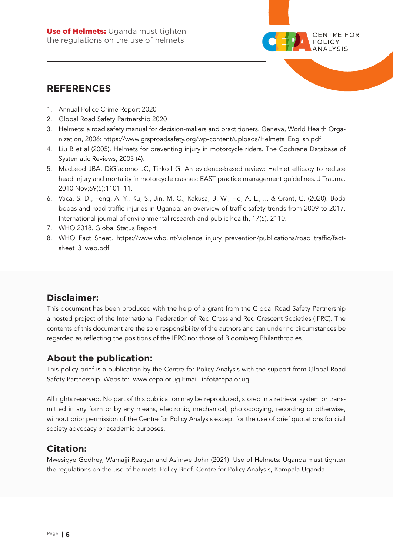

### **REFERENCES**

- 1. Annual Police Crime Report 2020
- 2. Global Road Safety Partnership 2020
- 3. Helmets: a road safety manual for decision-makers and practitioners. Geneva, World Health Organization, 2006: https://www.grsproadsafety.org/wp-content/uploads/Helmets\_English.pdf
- 4. Liu B et al (2005). Helmets for preventing injury in motorcycle riders. The Cochrane Database of Systematic Reviews, 2005 (4).
- 5. MacLeod JBA, DiGiacomo JC, Tinkoff G. An evidence-based review: Helmet efficacy to reduce head Injury and mortality in motorcycle crashes: EAST practice management guidelines. J Trauma. 2010 Nov;69(5):1101–11.
- 6. Vaca, S. D., Feng, A. Y., Ku, S., Jin, M. C., Kakusa, B. W., Ho, A. L., ... & Grant, G. (2020). Boda bodas and road traffic injuries in Uganda: an overview of traffic safety trends from 2009 to 2017. International journal of environmental research and public health, 17(6), 2110.
- 7. WHO 2018. Global Status Report
- 8. WHO Fact Sheet. https://www.who.int/violence\_injury\_prevention/publications/road\_traffic/factsheet\_3\_web.pdf

## **Disclaimer:**

This document has been produced with the help of a grant from the Global Road Safety Partnership a hosted project of the International Federation of Red Cross and Red Crescent Societies (IFRC). The contents of this document are the sole responsibility of the authors and can under no circumstances be regarded as reflecting the positions of the IFRC nor those of Bloomberg Philanthropies.

### **About the publication:**

This policy brief is a publication by the Centre for Policy Analysis with the support from Global Road Safety Partnership. Website: www.cepa.or.ug Email: info@cepa.or.ug

All rights reserved. No part of this publication may be reproduced, stored in a retrieval system or transmitted in any form or by any means, electronic, mechanical, photocopying, recording or otherwise, without prior permission of the Centre for Policy Analysis except for the use of brief quotations for civil society advocacy or academic purposes.

## **Citation:**

Mwesigye Godfrey, Wamajji Reagan and Asimwe John (2021). Use of Helmets: Uganda must tighten the regulations on the use of helmets. Policy Brief. Centre for Policy Analysis, Kampala Uganda.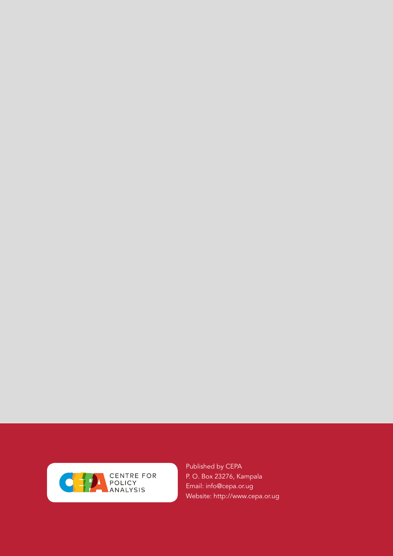

Published by CEPA P. O. Box 23276, Kampala Email: info@cepa.or.ug Website: http://www.cepa.or.ug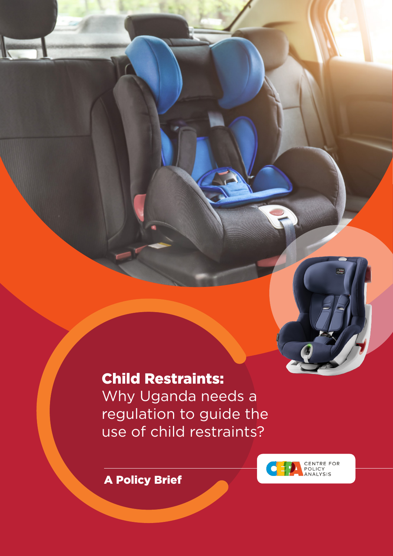# Child Restraints:

Why Uganda needs a regulation to guide the use of child restraints?



A Policy Brief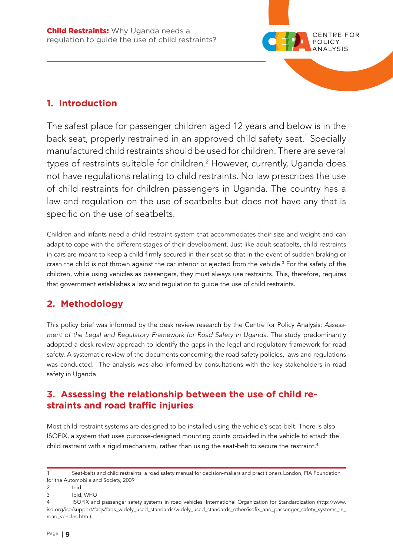

## **1. Introduction**

The safest place for passenger children aged 12 years and below is in the back seat, properly restrained in an approved child safety seat.<sup>1</sup> Specially manufactured child restraints should be used for children. There are several types of restraints suitable for children.2 However, currently, Uganda does not have regulations relating to child restraints. No law prescribes the use of child restraints for children passengers in Uganda. The country has a law and regulation on the use of seatbelts but does not have any that is specific on the use of seatbelts.

Children and infants need a child restraint system that accommodates their size and weight and can adapt to cope with the different stages of their development. Just like adult seatbelts, child restraints in cars are meant to keep a child firmly secured in their seat so that in the event of sudden braking or crash the child is not thrown against the car interior or ejected from the vehicle.<sup>3</sup> For the safety of the children, while using vehicles as passengers, they must always use restraints. This, therefore, requires that government establishes a law and regulation to guide the use of child restraints.

# **2. Methodology**

This policy brief was informed by the desk review research by the Centre for Policy Analysis: *Assessment of the Legal and Regulatory Framework for Road Safety in Uganda.* The study predominantly adopted a desk review approach to identify the gaps in the legal and regulatory framework for road safety. A systematic review of the documents concerning the road safety policies, laws and regulations was conducted. The analysis was also informed by consultations with the key stakeholders in road safety in Uganda.

## **3. Assessing the relationship between the use of child restraints and road traffic injuries**

Most child restraint systems are designed to be installed using the vehicle's seat-belt. There is also ISOFIX, a system that uses purpose-designed mounting points provided in the vehicle to attach the child restraint with a rigid mechanism, rather than using the seat-belt to secure the restraint.<sup>4</sup>

<sup>1</sup> Seat-belts and child restraints: a road safety manual for decision-makers and practitioners London, FIA Foundation for the Automobile and Society, 2009

<sup>2</sup> Ibid

<sup>3</sup> Ibid, WHO

<sup>4</sup> ISOFIX and passenger safety systems in road vehicles. International Organization for Standardization (http://www. iso.org/iso/support/faqs/faqs\_widely\_used\_standards/widely\_used\_standards\_other/isofix\_and\_passenger\_safety\_systems\_in\_ road\_vehcles.htm ).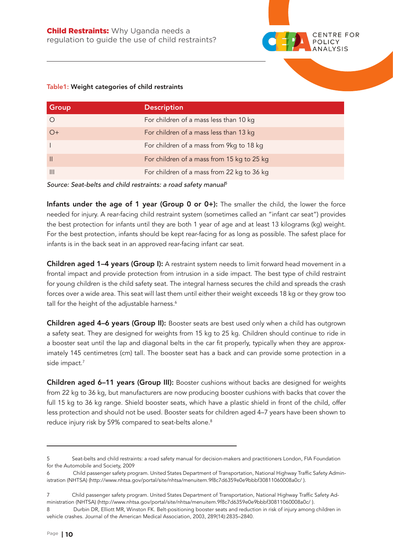

#### Table1: Weight categories of child restraints

| Group        | <b>Description</b>                         |
|--------------|--------------------------------------------|
| $\circ$      | For children of a mass less than 10 kg     |
| $O+$         | For children of a mass less than 13 kg     |
|              | For children of a mass from 9kg to 18 kg   |
| $\mathbf{H}$ | For children of a mass from 15 kg to 25 kg |
| $\mathbb{H}$ | For children of a mass from 22 kg to 36 kg |

*Source: Seat-belts and child restraints: a road safety manual5*

Infants under the age of 1 year (Group 0 or 0+): The smaller the child, the lower the force needed for injury. A rear-facing child restraint system (sometimes called an "infant car seat") provides the best protection for infants until they are both 1 year of age and at least 13 kilograms (kg) weight. For the best protection, infants should be kept rear-facing for as long as possible. The safest place for infants is in the back seat in an approved rear-facing infant car seat.

Children aged 1-4 years (Group I): A restraint system needs to limit forward head movement in a frontal impact and provide protection from intrusion in a side impact. The best type of child restraint for young children is the child safety seat. The integral harness secures the child and spreads the crash forces over a wide area. This seat will last them until either their weight exceeds 18 kg or they grow too tall for the height of the adjustable harness.<sup>6</sup>

Children aged 4-6 years (Group II): Booster seats are best used only when a child has outgrown a safety seat. They are designed for weights from 15 kg to 25 kg. Children should continue to ride in a booster seat until the lap and diagonal belts in the car fit properly, typically when they are approximately 145 centimetres (cm) tall. The booster seat has a back and can provide some protection in a side impact.7

Children aged 6-11 years (Group III): Booster cushions without backs are designed for weights from 22 kg to 36 kg, but manufacturers are now producing booster cushions with backs that cover the full 15 kg to 36 kg range. Shield booster seats, which have a plastic shield in front of the child, offer less protection and should not be used. Booster seats for children aged 4–7 years have been shown to reduce injury risk by 59% compared to seat-belts alone.<sup>8</sup>

<sup>5</sup> Seat-belts and child restraints: a road safety manual for decision-makers and practitioners London, FIA Foundation for the Automobile and Society, 2009

<sup>6</sup> Child passenger safety program. United States Department of Transportation, National Highway Traffic Safety Administration (NHTSA) (http://www.nhtsa.gov/portal/site/nhtsa/menuitem.9f8c7d6359e0e9bbbf30811060008a0c/ ).

<sup>7</sup> Child passenger safety program. United States Department of Transportation, National Highway Traffic Safety Administration (NHTSA) (http://www.nhtsa.gov/portal/site/nhtsa/menuitem.9f8c7d6359e0e9bbbf30811060008a0c/ ).

<sup>8</sup> Durbin DR, Elliott MR, Winston FK. Belt-positioning booster seats and reduction in risk of injury among children in vehicle crashes. Journal of the American Medical Association, 2003, 289(14):2835–2840.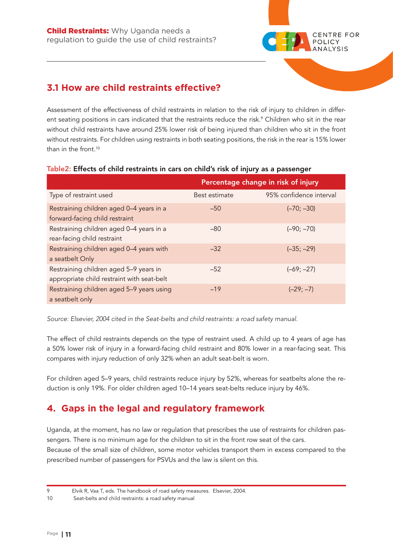

# **3.1 How are child restraints effective?**

Assessment of the effectiveness of child restraints in relation to the risk of injury to children in different seating positions in cars indicated that the restraints reduce the risk.<sup>9</sup> Children who sit in the rear without child restraints have around 25% lower risk of being injured than children who sit in the front without restraints. For children using restraints in both seating positions, the risk in the rear is 15% lower than in the front  $10$ 

|                                                                                      | Percentage change in risk of injury |                         |
|--------------------------------------------------------------------------------------|-------------------------------------|-------------------------|
| Type of restraint used                                                               | Best estimate                       | 95% confidence interval |
| Restraining children aged 0-4 years in a<br>forward-facing child restraint           | $-50$                               | $(-70; -30)$            |
| Restraining children aged 0-4 years in a<br>rear-facing child restraint              | $-80$                               | $(-90; -70)$            |
| Restraining children aged 0-4 years with<br>a seatbelt Only                          | $-32$                               | $(-35; -29)$            |
| Restraining children aged 5-9 years in<br>appropriate child restraint with seat-belt | $-52$                               | $(-69; -27)$            |
| Restraining children aged 5-9 years using<br>a seatbelt only                         | $-19$                               | $(-29; -7)$             |

### Table2: Effects of child restraints in cars on child's risk of injury as a passenger

*Source: Elsevier, 2004 cited in the Seat-belts and child restraints: a road safety manual.*

The effect of child restraints depends on the type of restraint used. A child up to 4 years of age has a 50% lower risk of injury in a forward-facing child restraint and 80% lower in a rear-facing seat. This compares with injury reduction of only 32% when an adult seat-belt is worn.

For children aged 5–9 years, child restraints reduce injury by 52%, whereas for seatbelts alone the reduction is only 19%. For older children aged 10–14 years seat-belts reduce injury by 46%.

## **4. Gaps in the legal and regulatory framework**

Uganda, at the moment, has no law or regulation that prescribes the use of restraints for children passengers. There is no minimum age for the children to sit in the front row seat of the cars. Because of the small size of children, some motor vehicles transport them in excess compared to the prescribed number of passengers for PSVUs and the law is silent on this.

<sup>9</sup> Elvik R, Vaa T, eds. The handbook of road safety measures. Elsevier, 2004.

<sup>10</sup> Seat-belts and child restraints: a road safety manual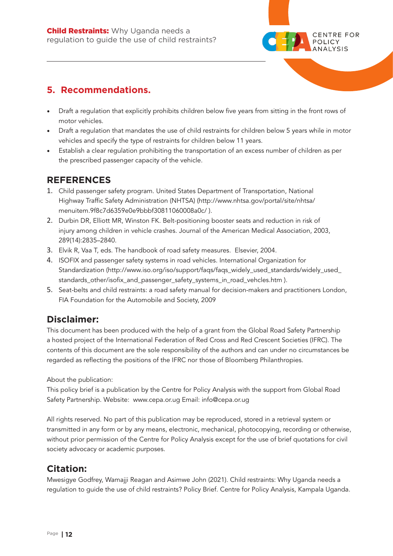

• Draft a regulation that explicitly prohibits children below five years from sitting in the front rows of motor vehicles.

**CENTRE FOR** POLICY

- Draft a regulation that mandates the use of child restraints for children below 5 years while in motor vehicles and specify the type of restraints for children below 11 years.
- Establish a clear regulation prohibiting the transportation of an excess number of children as per the prescribed passenger capacity of the vehicle.

### **REFERENCES**

- 1. Child passenger safety program. United States Department of Transportation, National Highway Traffic Safety Administration (NHTSA) (http://www.nhtsa.gov/portal/site/nhtsa/ menuitem.9f8c7d6359e0e9bbbf30811060008a0c/ ).
- 2. Durbin DR, Elliott MR, Winston FK. Belt-positioning booster seats and reduction in risk of injury among children in vehicle crashes. Journal of the American Medical Association, 2003, 289(14):2835–2840.
- 3. Elvik R, Vaa T, eds. The handbook of road safety measures. Elsevier, 2004.
- 4. ISOFIX and passenger safety systems in road vehicles. International Organization for Standardization (http://www.iso.org/iso/support/faqs/faqs\_widely\_used\_standards/widely\_used\_ standards\_other/isofix\_and\_passenger\_safety\_systems\_in\_road\_vehcles.htm ).
- 5. Seat-belts and child restraints: a road safety manual for decision-makers and practitioners London, FIA Foundation for the Automobile and Society, 2009

## **Disclaimer:**

This document has been produced with the help of a grant from the Global Road Safety Partnership a hosted project of the International Federation of Red Cross and Red Crescent Societies (IFRC). The contents of this document are the sole responsibility of the authors and can under no circumstances be regarded as reflecting the positions of the IFRC nor those of Bloomberg Philanthropies.

About the publication:

This policy brief is a publication by the Centre for Policy Analysis with the support from Global Road Safety Partnership. Website: www.cepa.or.ug Email: info@cepa.or.ug

All rights reserved. No part of this publication may be reproduced, stored in a retrieval system or transmitted in any form or by any means, electronic, mechanical, photocopying, recording or otherwise, without prior permission of the Centre for Policy Analysis except for the use of brief quotations for civil society advocacy or academic purposes.

## **Citation:**

Mwesigye Godfrey, Wamajji Reagan and Asimwe John (2021). Child restraints: Why Uganda needs a regulation to guide the use of child restraints? Policy Brief. Centre for Policy Analysis, Kampala Uganda.